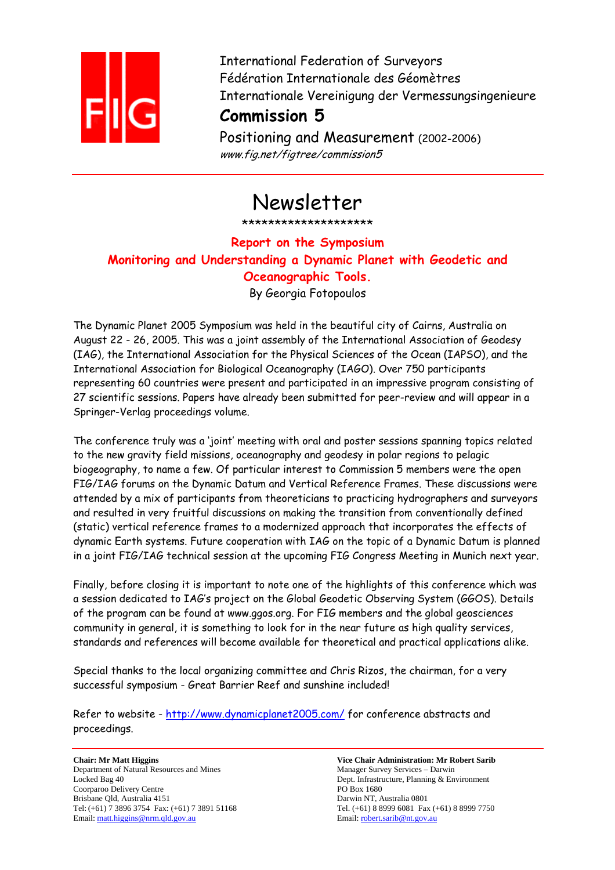

International Federation of Surveyors Fédération Internationale des Géomètres Internationale Vereinigung der Vermessungsingenieure

## **Commission 5**

Positioning and Measurement (2002-2006) www.fig.net/figtree/commission5

# Newsletter

\*\*\*\*\*\*\*\*\*\*\*\*\*\*\*\*\*\*\*\*

## **Report on the Symposium Monitoring and Understanding a Dynamic Planet with Geodetic and Oceanographic Tools.** By Georgia Fotopoulos

The Dynamic Planet 2005 Symposium was held in the beautiful city of Cairns, Australia on August 22 - 26, 2005. This was a joint assembly of the International Association of Geodesy (IAG), the International Association for the Physical Sciences of the Ocean (IAPSO), and the International Association for Biological Oceanography (IAGO). Over 750 participants representing 60 countries were present and participated in an impressive program consisting of 27 scientific sessions. Papers have already been submitted for peer-review and will appear in a Springer-Verlag proceedings volume.

The conference truly was a 'joint' meeting with oral and poster sessions spanning topics related to the new gravity field missions, oceanography and geodesy in polar regions to pelagic biogeography, to name a few. Of particular interest to Commission 5 members were the open FIG/IAG forums on the Dynamic Datum and Vertical Reference Frames. These discussions were attended by a mix of participants from theoreticians to practicing hydrographers and surveyors and resulted in very fruitful discussions on making the transition from conventionally defined (static) vertical reference frames to a modernized approach that incorporates the effects of dynamic Earth systems. Future cooperation with IAG on the topic of a Dynamic Datum is planned in a joint FIG/IAG technical session at the upcoming FIG Congress Meeting in Munich next year.

Finally, before closing it is important to note one of the highlights of this conference which was a session dedicated to IAG's project on the Global Geodetic Observing System (GGOS). Details of the program can be found at www.ggos.org. For FIG members and the global geosciences community in general, it is something to look for in the near future as high quality services, standards and references will become available for theoretical and practical applications alike.

Special thanks to the local organizing committee and Chris Rizos, the chairman, for a very successful symposium - Great Barrier Reef and sunshine included!

Refer to website - http://www.dynamicplanet2005.com/ for conference abstracts and proceedings.

**Chair: Mr Matt Higgins Vice Chair Administration: Mr Robert Sarib**  Department of Natural Resources and Mines Manager Survey Services – Darwin Locked Bag 40 Dept. Infrastructure, Planning & Environment Coorparoo Delivery Centre PO Box 1680 Brisbane Qld, Australia 4151 Darwin NT, Australia 0801 Email: matt.higgins@nrm.qld.gov.au

Tel: (+61) 7 3896 3754 Fax: (+61) 7 3891 51168 Tel. (+61) 8 8999 6081 Fax (+61) 8 8999 7750<br>
Email: <u>robert.sarib@nt.gov.au</u><br>
Email: <u>robert.sarib@nt.gov.au</u>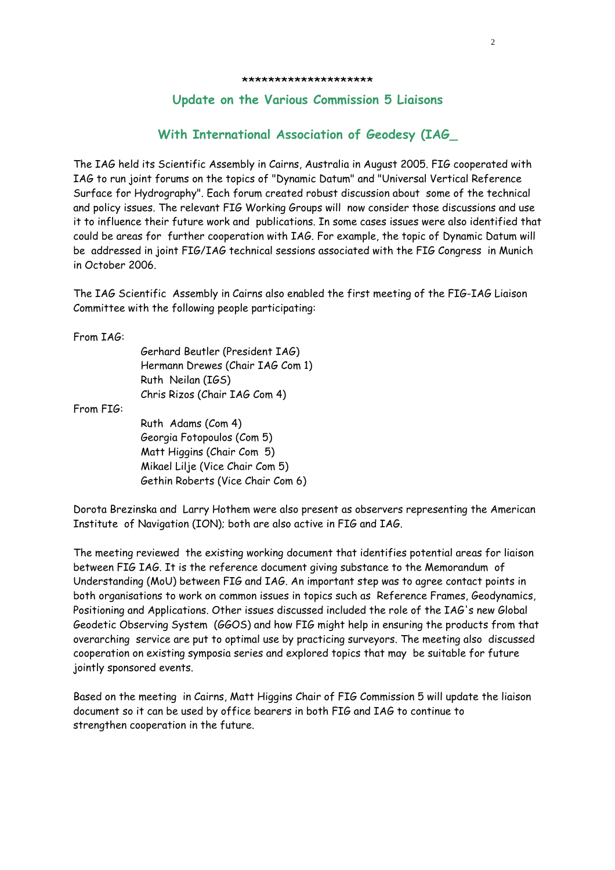#### **Update on the Various Commission 5 Liaisons**

### **With International Association of Geodesy (IAG\_**

The IAG held its Scientific Assembly in Cairns, Australia in August 2005. FIG cooperated with IAG to run joint forums on the topics of "Dynamic Datum" and "Universal Vertical Reference Surface for Hydrography". Each forum created robust discussion about some of the technical and policy issues. The relevant FIG Working Groups will now consider those discussions and use it to influence their future work and publications. In some cases issues were also identified that could be areas for further cooperation with IAG. For example, the topic of Dynamic Datum will be addressed in joint FIG/IAG technical sessions associated with the FIG Congress in Munich in October 2006.

The IAG Scientific Assembly in Cairns also enabled the first meeting of the FIG-IAG Liaison Committee with the following people participating:

From IAG:

Gerhard Beutler (President IAG) Hermann Drewes (Chair IAG Com 1) Ruth Neilan (IGS) Chris Rizos (Chair IAG Com 4)

From FIG:

Ruth Adams (Com 4) Georgia Fotopoulos (Com 5) Matt Higgins (Chair Com 5) Mikael Lilje (Vice Chair Com 5) Gethin Roberts (Vice Chair Com 6)

Dorota Brezinska and Larry Hothem were also present as observers representing the American Institute of Navigation (ION); both are also active in FIG and IAG.

The meeting reviewed the existing working document that identifies potential areas for liaison between FIG IAG. It is the reference document giving substance to the Memorandum of Understanding (MoU) between FIG and IAG. An important step was to agree contact points in both organisations to work on common issues in topics such as Reference Frames, Geodynamics, Positioning and Applications. Other issues discussed included the role of the IAG's new Global Geodetic Observing System (GGOS) and how FIG might help in ensuring the products from that overarching service are put to optimal use by practicing surveyors. The meeting also discussed cooperation on existing symposia series and explored topics that may be suitable for future jointly sponsored events.

Based on the meeting in Cairns, Matt Higgins Chair of FIG Commission 5 will update the liaison document so it can be used by office bearers in both FIG and IAG to continue to strengthen cooperation in the future.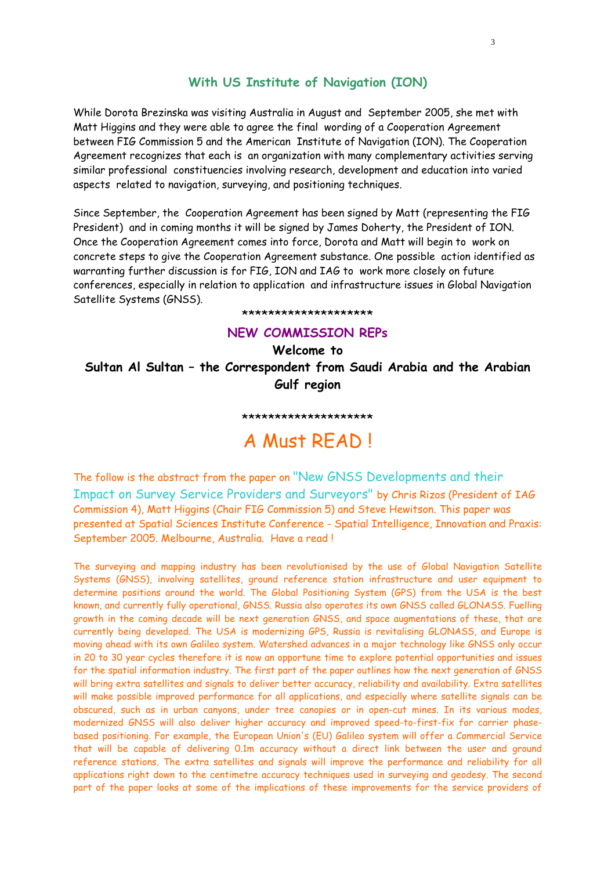### **With US Institute of Navigation (ION)**

While Dorota Brezinska was visiting Australia in August and September 2005, she met with Matt Higgins and they were able to agree the final wording of a Cooperation Agreement between FIG Commission 5 and the American Institute of Navigation (ION). The Cooperation Agreement recognizes that each is an organization with many complementary activities serving similar professional constituencies involving research, development and education into varied aspects related to navigation, surveying, and positioning techniques.

Since September, the Cooperation Agreement has been signed by Matt (representing the FIG President) and in coming months it will be signed by James Doherty, the President of ION. Once the Cooperation Agreement comes into force, Dorota and Matt will begin to work on concrete steps to give the Cooperation Agreement substance. One possible action identified as warranting further discussion is for FIG, ION and IAG to work more closely on future conferences, especially in relation to application and infrastructure issues in Global Navigation Satellite Systems (GNSS).

#### \*\*\*\*\*\*\*\*\*\*\*\*\*\*\*\*\*\*\*\*

#### **NEW COMMISSION REPs**

**Welcome to Sultan Al Sultan – the Correspondent from Saudi Arabia and the Arabian Gulf region** 

#### \*\*\*\*\*\*\*\*\*\*\*\*\*\*\*\*\*\*\*\*

## A Must READ !

The follow is the abstract from the paper on "New GNSS Developments and their Impact on Survey Service Providers and Surveyors" by Chris Rizos (President of IAG Commission 4), Matt Higgins (Chair FIG Commission 5) and Steve Hewitson. This paper was presented at Spatial Sciences Institute Conference - Spatial Intelligence, Innovation and Praxis: September 2005. Melbourne, Australia. Have a read !

The surveying and mapping industry has been revolutionised by the use of Global Navigation Satellite Systems (GNSS), involving satellites, ground reference station infrastructure and user equipment to determine positions around the world. The Global Positioning System (GPS) from the USA is the best known, and currently fully operational, GNSS. Russia also operates its own GNSS called GLONASS. Fuelling growth in the coming decade will be next generation GNSS, and space augmentations of these, that are currently being developed. The USA is modernizing GPS, Russia is revitalising GLONASS, and Europe is moving ahead with its own Galileo system. Watershed advances in a major technology like GNSS only occur in 20 to 30 year cycles therefore it is now an opportune time to explore potential opportunities and issues for the spatial information industry. The first part of the paper outlines how the next generation of GNSS will bring extra satellites and signals to deliver better accuracy, reliability and availability. Extra satellites will make possible improved performance for all applications, and especially where satellite signals can be obscured, such as in urban canyons, under tree canopies or in open-cut mines. In its various modes, modernized GNSS will also deliver higher accuracy and improved speed-to-first-fix for carrier phasebased positioning. For example, the European Union's (EU) Galileo system will offer a Commercial Service that will be capable of delivering 0.1m accuracy without a direct link between the user and ground reference stations. The extra satellites and signals will improve the performance and reliability for all applications right down to the centimetre accuracy techniques used in surveying and geodesy. The second part of the paper looks at some of the implications of these improvements for the service providers of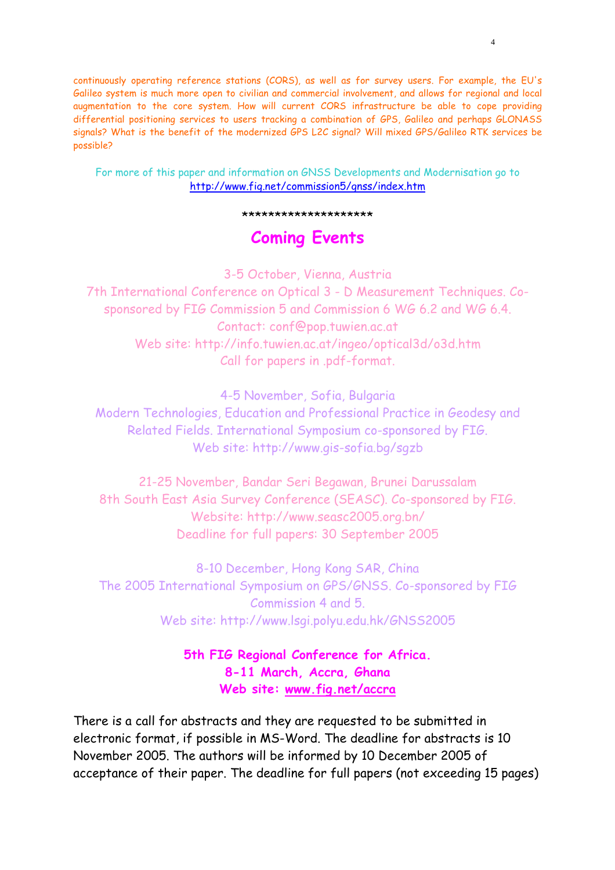continuously operating reference stations (CORS), as well as for survey users. For example, the EU's Galileo system is much more open to civilian and commercial involvement, and allows for regional and local augmentation to the core system. How will current CORS infrastructure be able to cope providing differential positioning services to users tracking a combination of GPS, Galileo and perhaps GLONASS signals? What is the benefit of the modernized GPS L2C signal? Will mixed GPS/Galileo RTK services be possible?

4

For more of this paper and information on GNSS Developments and Modernisation go to http://www.fig.net/commission5/gnss/index.htm

\*\*\*\*\*\*\*\*\*\*\*\*\*\*\*\*\*\*\*\*

## **Coming Events**

3-5 October, Vienna, Austria

7th International Conference on Optical 3 - D Measurement Techniques. Cosponsored by FIG Commission 5 and Commission 6 WG 6.2 and WG 6.4. Contact: conf@pop.tuwien.ac.at Web site: http://info.tuwien.ac.at/ingeo/optical3d/o3d.htm Call for papers in .pdf-format.

4-5 November, Sofia, Bulgaria

Modern Technologies, Education and Professional Practice in Geodesy and Related Fields. International Symposium co-sponsored by FIG. Web site: http://www.gis-sofia.bg/sgzb

21-25 November, Bandar Seri Begawan, Brunei Darussalam 8th South East Asia Survey Conference (SEASC). Co-sponsored by FIG. Website: http://www.seasc2005.org.bn/ Deadline for full papers: 30 September 2005

8-10 December, Hong Kong SAR, China The 2005 International Symposium on GPS/GNSS. Co-sponsored by FIG Commission 4 and 5. Web site: http://www.lsgi.polyu.edu.hk/GNSS2005

> **5th FIG Regional Conference for Africa. 8-11 March, Accra, Ghana Web site: www.fig.net/accra**

There is a call for abstracts and they are requested to be submitted in electronic format, if possible in MS-Word. The deadline for abstracts is 10 November 2005. The authors will be informed by 10 December 2005 of acceptance of their paper. The deadline for full papers (not exceeding 15 pages)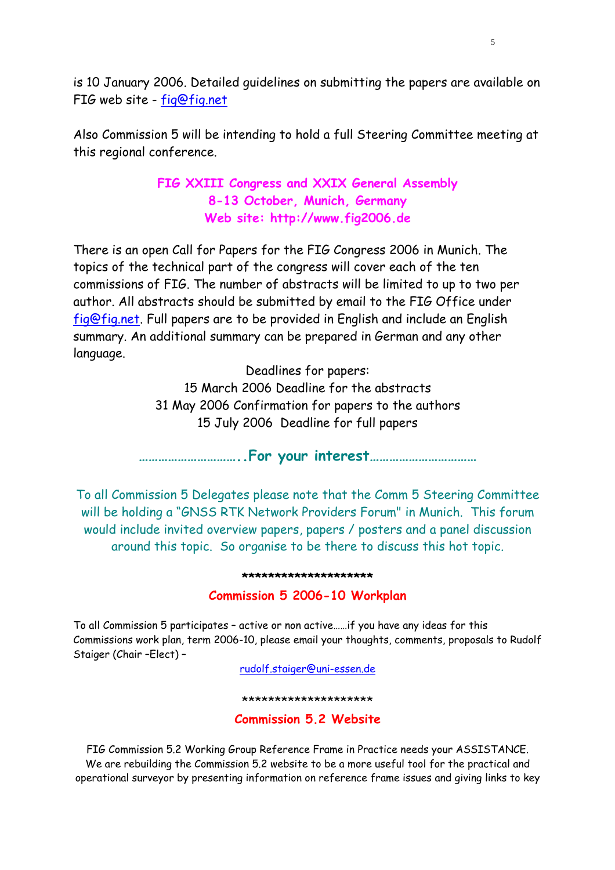is 10 January 2006. Detailed guidelines on submitting the papers are available on FIG web site - fig@fig.net

Also Commission 5 will be intending to hold a full Steering Committee meeting at this regional conference.

## **FIG XXIII Congress and XXIX General Assembly 8-13 October, Munich, Germany Web site: http://www.fig2006.de**

There is an open Call for Papers for the FIG Congress 2006 in Munich. The topics of the technical part of the congress will cover each of the ten commissions of FIG. The number of abstracts will be limited to up to two per author. All abstracts should be submitted by email to the FIG Office under fig@fig.net. Full papers are to be provided in English and include an English summary. An additional summary can be prepared in German and any other language.

Deadlines for papers:

15 March 2006 Deadline for the abstracts 31 May 2006 Confirmation for papers to the authors 15 July 2006 Deadline for full papers

**…………………………..For your interest……………………………** 

To all Commission 5 Delegates please note that the Comm 5 Steering Committee will be holding a "GNSS RTK Network Providers Forum" in Munich. This forum would include invited overview papers, papers / posters and a panel discussion around this topic. So organise to be there to discuss this hot topic.

#### **\*\*\*\*\*\*\*\*\*\*\*\*\*\*\*\*\*\*\*\***

## **Commission 5 2006-10 Workplan**

To all Commission 5 participates – active or non active……if you have any ideas for this Commissions work plan, term 2006-10, please email your thoughts, comments, proposals to Rudolf Staiger (Chair –Elect) –

rudolf.staiger@uni-essen.de

\*\*\*\*\*\*\*\*\*\*\*\*\*\*\*\*\*\*\*\*

### **Commission 5.2 Website**

FIG Commission 5.2 Working Group Reference Frame in Practice needs your ASSISTANCE. We are rebuilding the Commission 5.2 website to be a more useful tool for the practical and operational surveyor by presenting information on reference frame issues and giving links to key